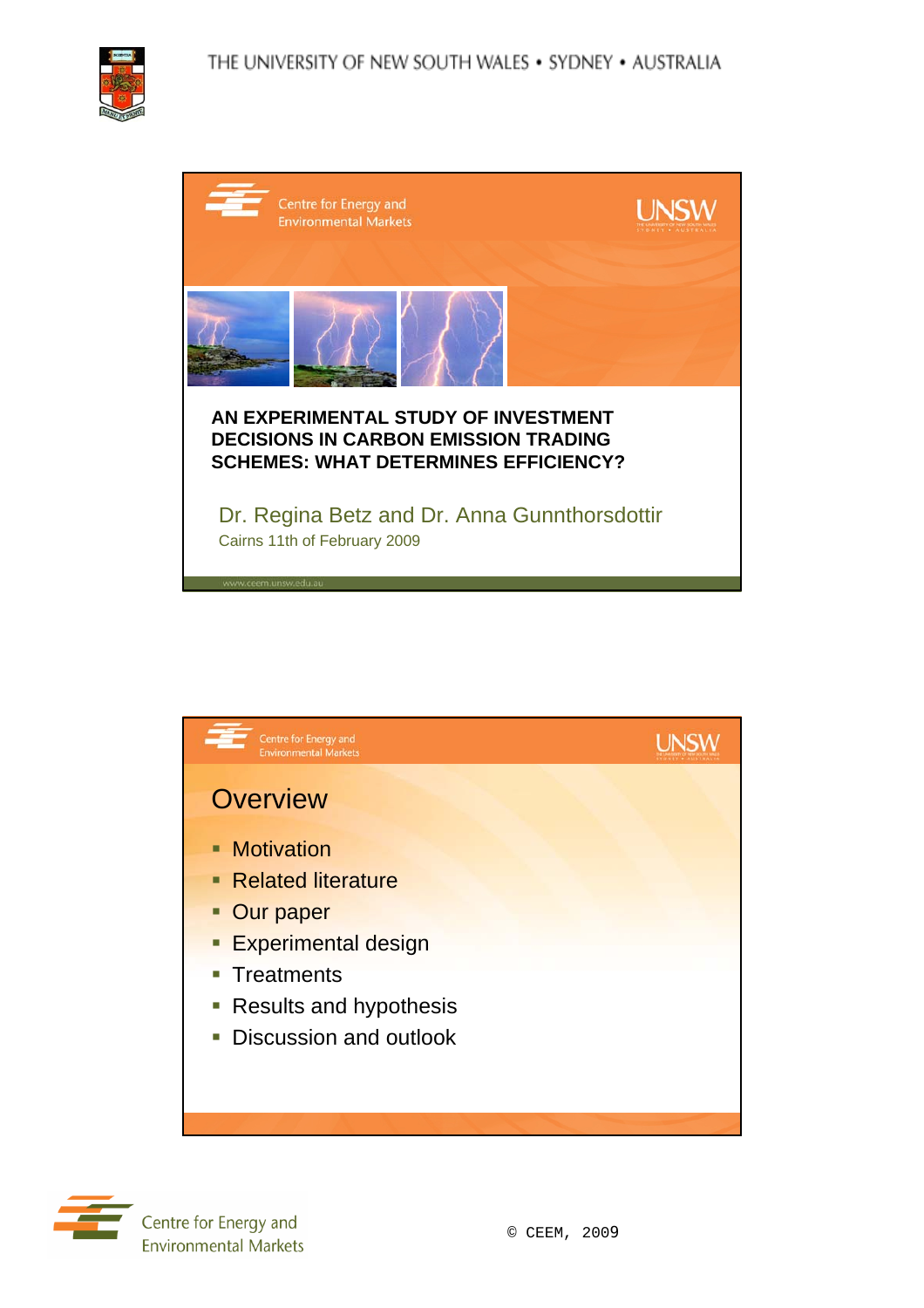





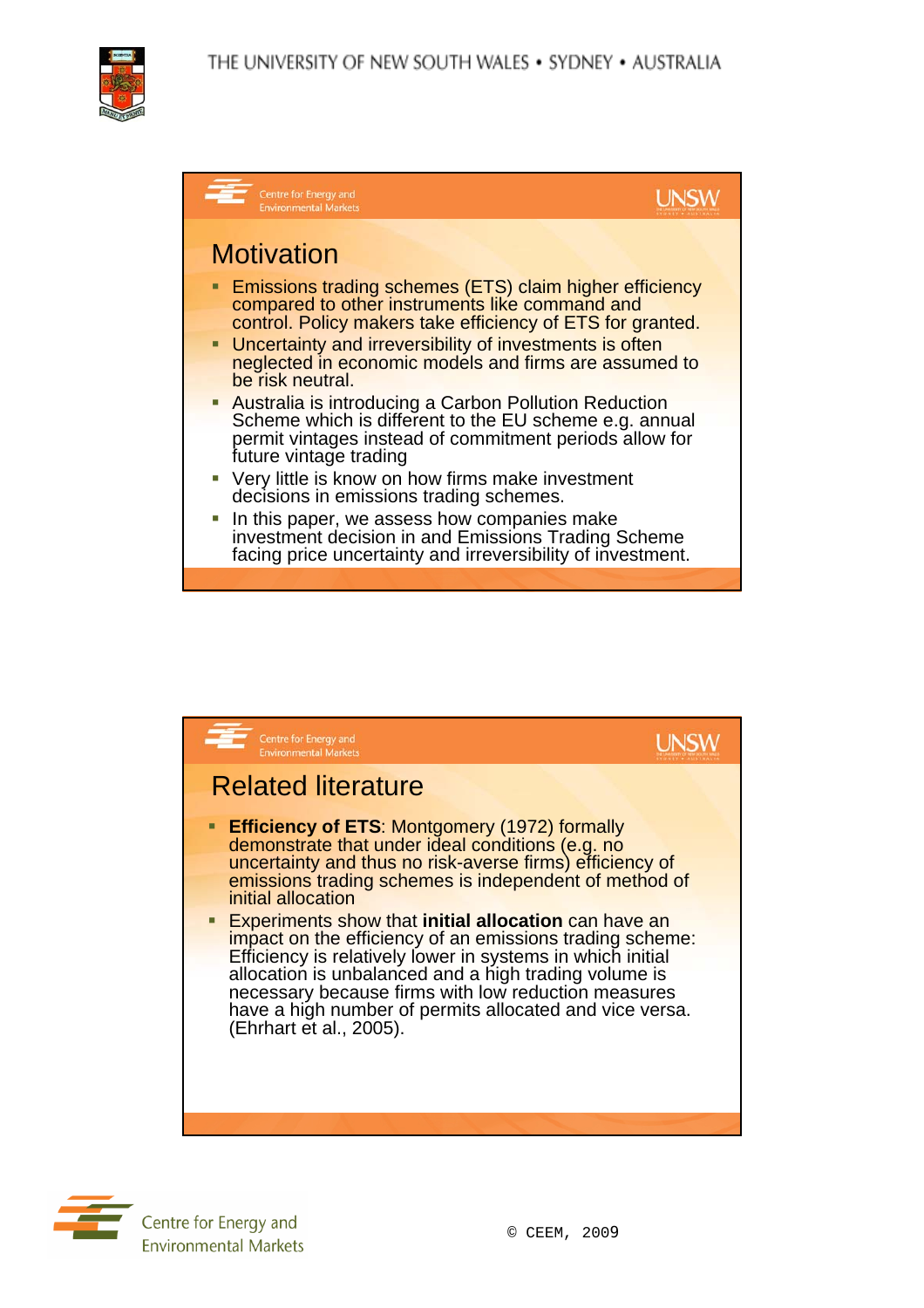





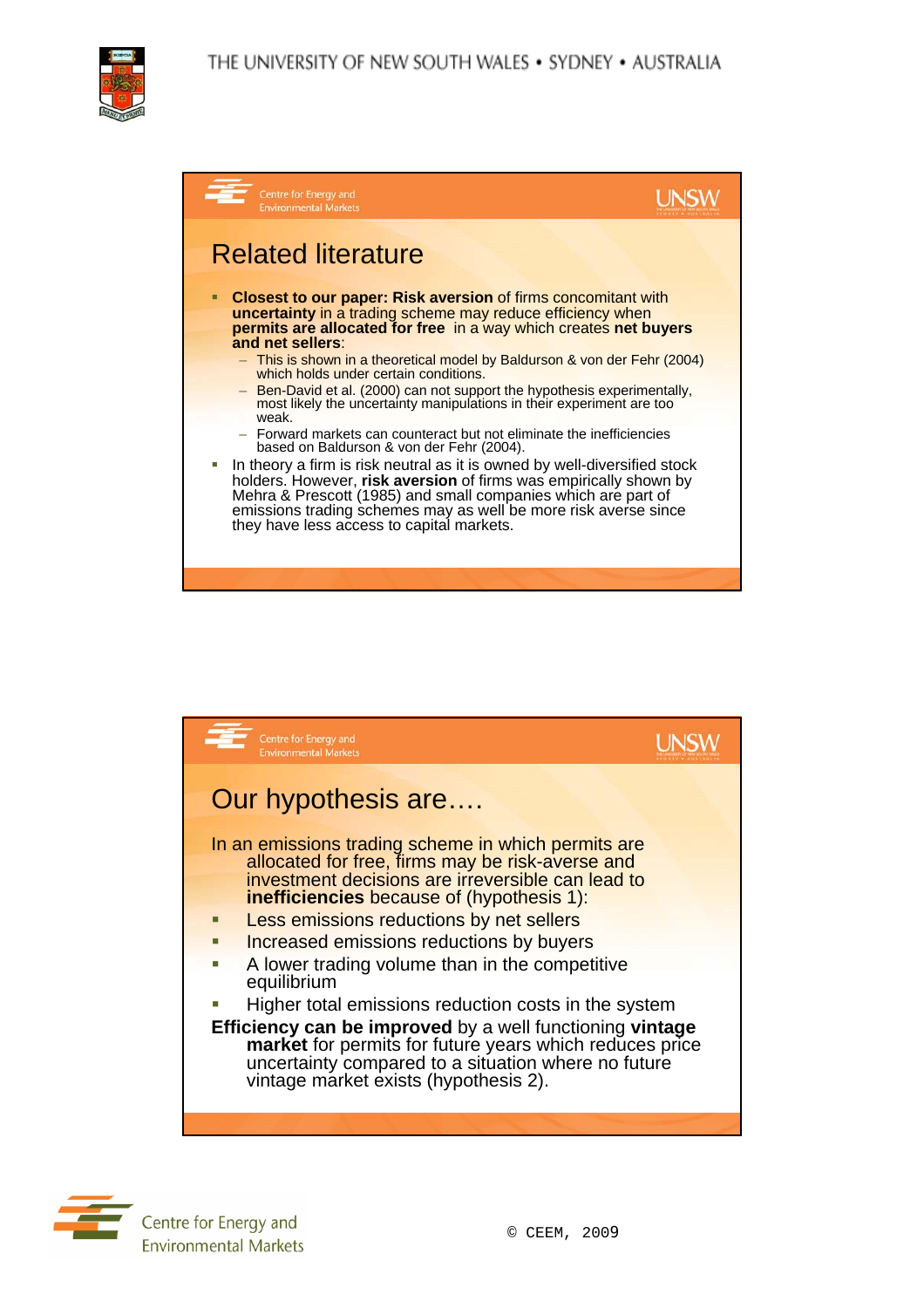

| Centre for Energy and<br><b>Environmental Markets</b>                                                                                                                                                                                                                                                                           |  |
|---------------------------------------------------------------------------------------------------------------------------------------------------------------------------------------------------------------------------------------------------------------------------------------------------------------------------------|--|
| <b>Related literature</b>                                                                                                                                                                                                                                                                                                       |  |
| <b>Closest to our paper: Risk aversion of firms concomitant with</b><br>□<br>uncertainty in a trading scheme may reduce efficiency when<br>permits are allocated for free in a way which creates net buyers<br>and net sellers:                                                                                                 |  |
| - This is shown in a theoretical model by Baldurson & von der Fehr (2004)<br>which holds under certain conditions.                                                                                                                                                                                                              |  |
| - Ben-David et al. (2000) can not support the hypothesis experimentally,<br>most likely the uncertainty manipulations in their experiment are too<br>weak.                                                                                                                                                                      |  |
| - Forward markets can counteract but not eliminate the inefficiencies<br>based on Baldurson & von der Fehr (2004).                                                                                                                                                                                                              |  |
| In theory a firm is risk neutral as it is owned by well-diversified stock<br>holders. However, risk aversion of firms was empirically shown by<br>Mehra & Prescott (1985) and small companies which are part of<br>emissions trading schemes may as well be more risk averse since<br>they have less access to capital markets. |  |
|                                                                                                                                                                                                                                                                                                                                 |  |



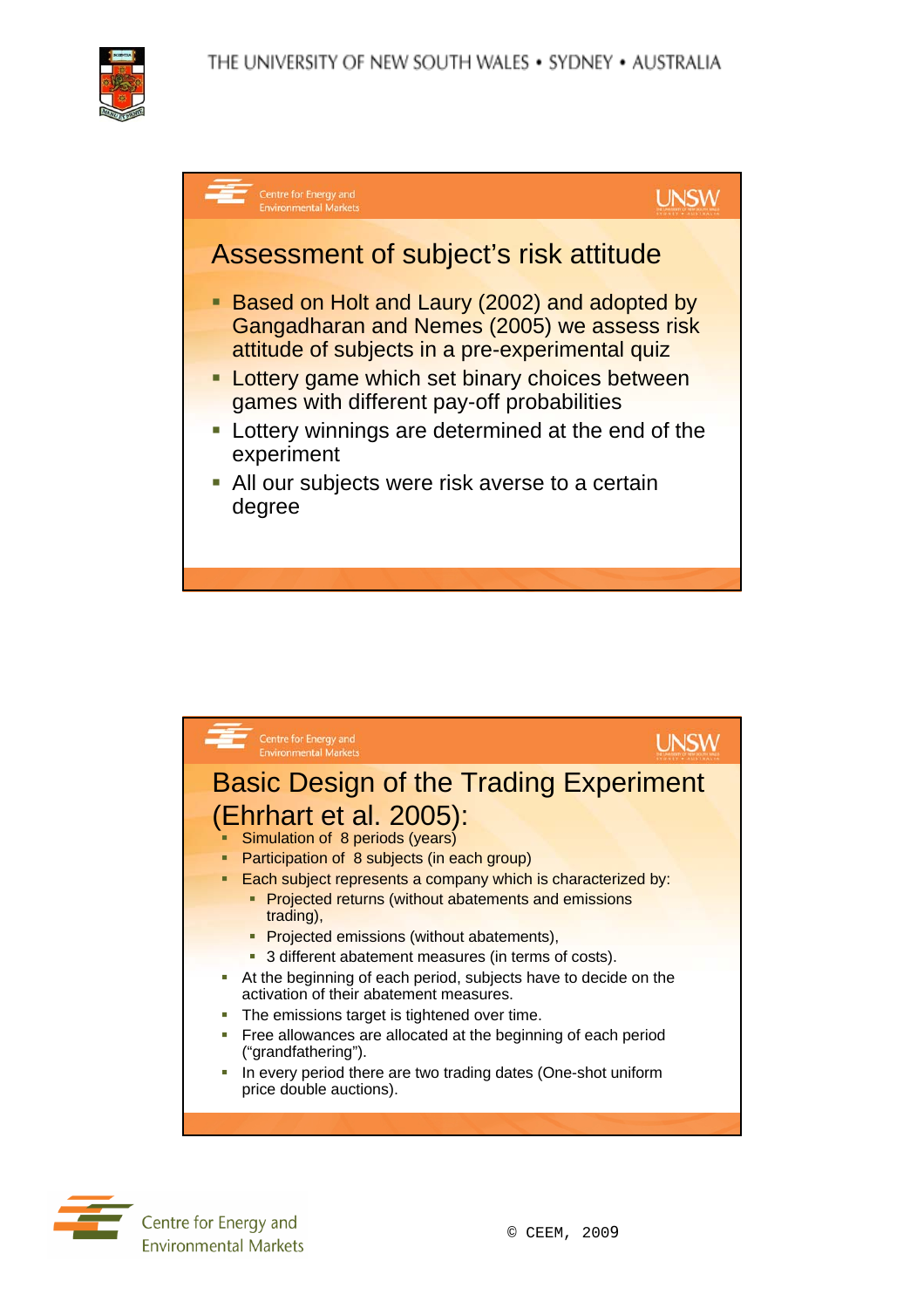





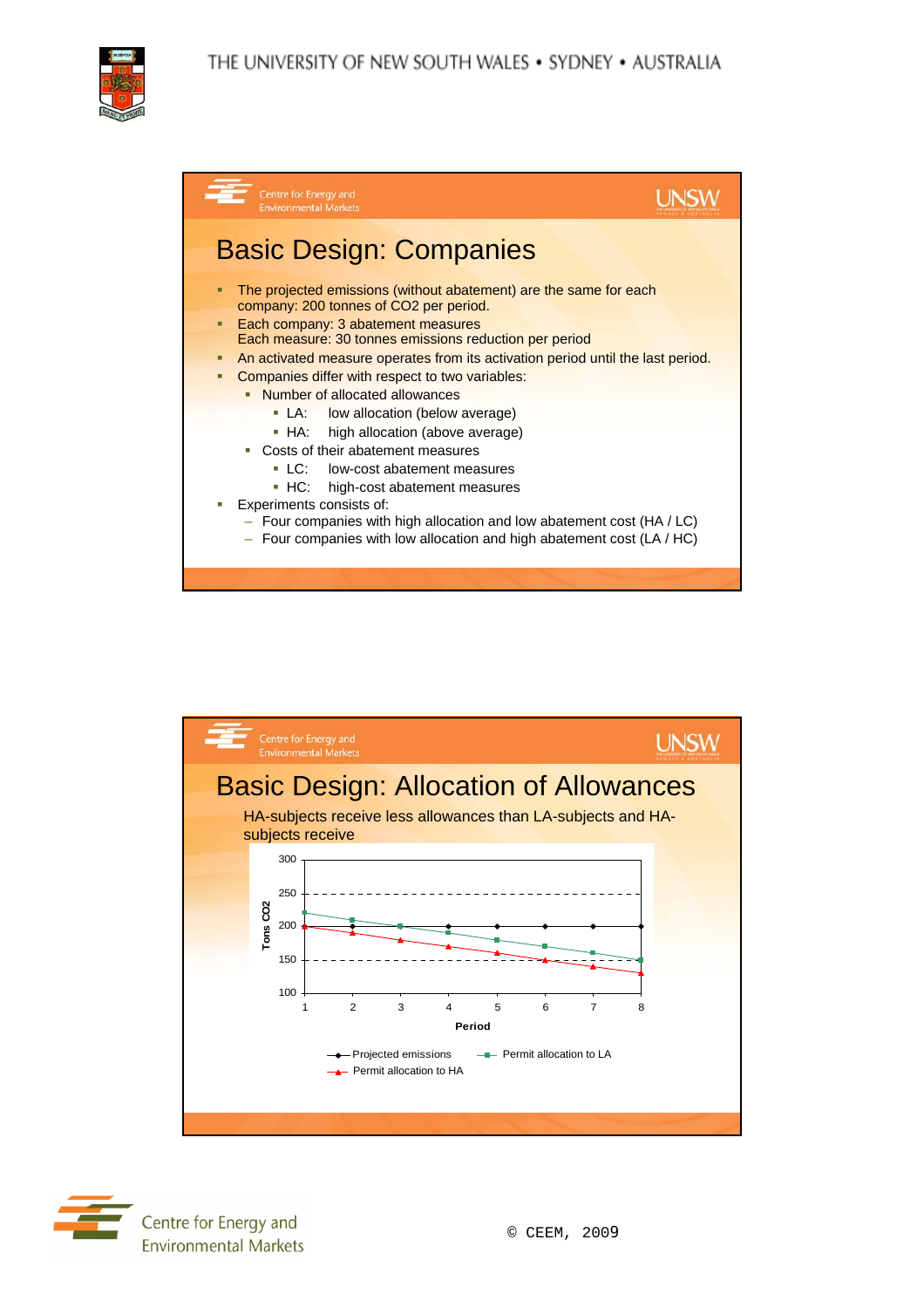



| Centre for Energy and<br><b>Environmental Markets</b>                                                                                                                                                                                                                                                                                                                                                                                                                                                                                                                                                                                                                                                                                                                                  |  |
|----------------------------------------------------------------------------------------------------------------------------------------------------------------------------------------------------------------------------------------------------------------------------------------------------------------------------------------------------------------------------------------------------------------------------------------------------------------------------------------------------------------------------------------------------------------------------------------------------------------------------------------------------------------------------------------------------------------------------------------------------------------------------------------|--|
| <b>Basic Design: Companies</b>                                                                                                                                                                                                                                                                                                                                                                                                                                                                                                                                                                                                                                                                                                                                                         |  |
| The projected emissions (without abatement) are the same for each<br>company: 200 tonnes of CO2 per period.<br>Each company: 3 abatement measures<br>п<br>Each measure: 30 tonnes emissions reduction per period<br>An activated measure operates from its activation period until the last period.<br>Companies differ with respect to two variables:<br>□<br>• Number of allocated allowances<br>• LA: low allocation (below average)<br>• HA: high allocation (above average)<br>• Costs of their abatement measures<br>• LC: low-cost abatement measures<br>• HC: high-cost abatement measures<br>Experiments consists of:<br>$-$ Four companies with high allocation and low abatement cost (HA / LC)<br>$-$ Four companies with low allocation and high abatement cost (LA / HC) |  |
|                                                                                                                                                                                                                                                                                                                                                                                                                                                                                                                                                                                                                                                                                                                                                                                        |  |



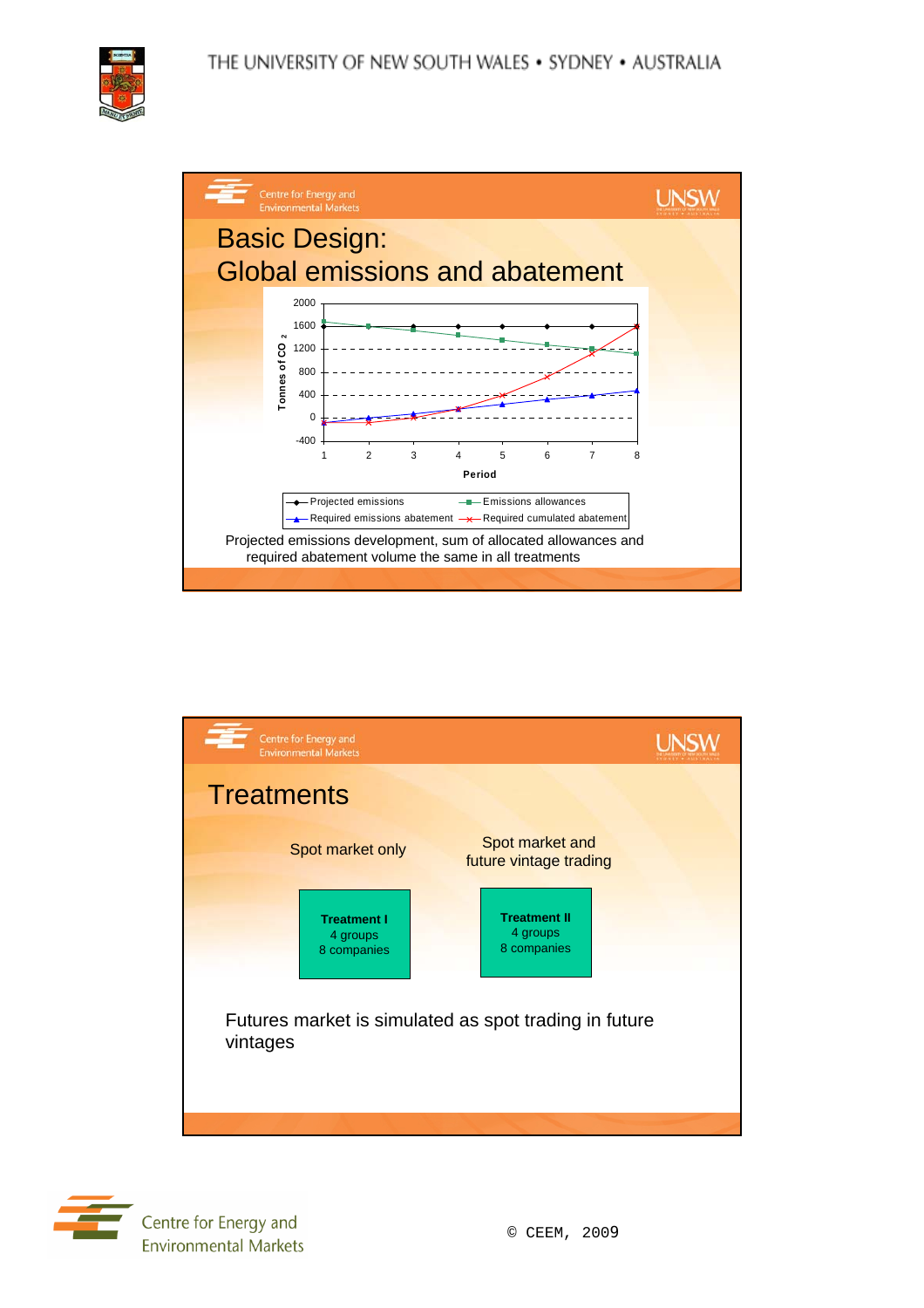## THE UNIVERSITY OF NEW SOUTH WALES . SYDNEY . AUSTRALIA







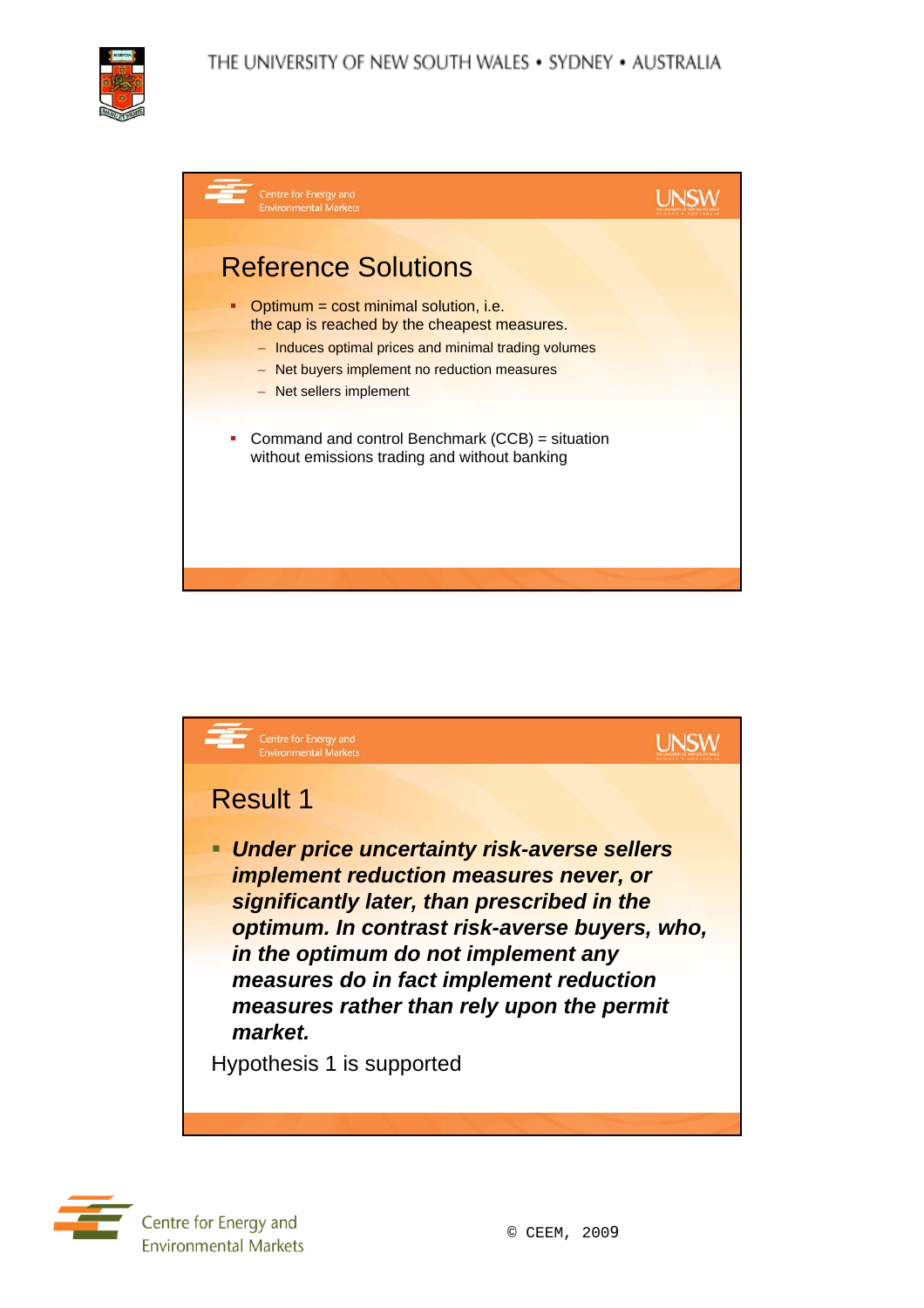





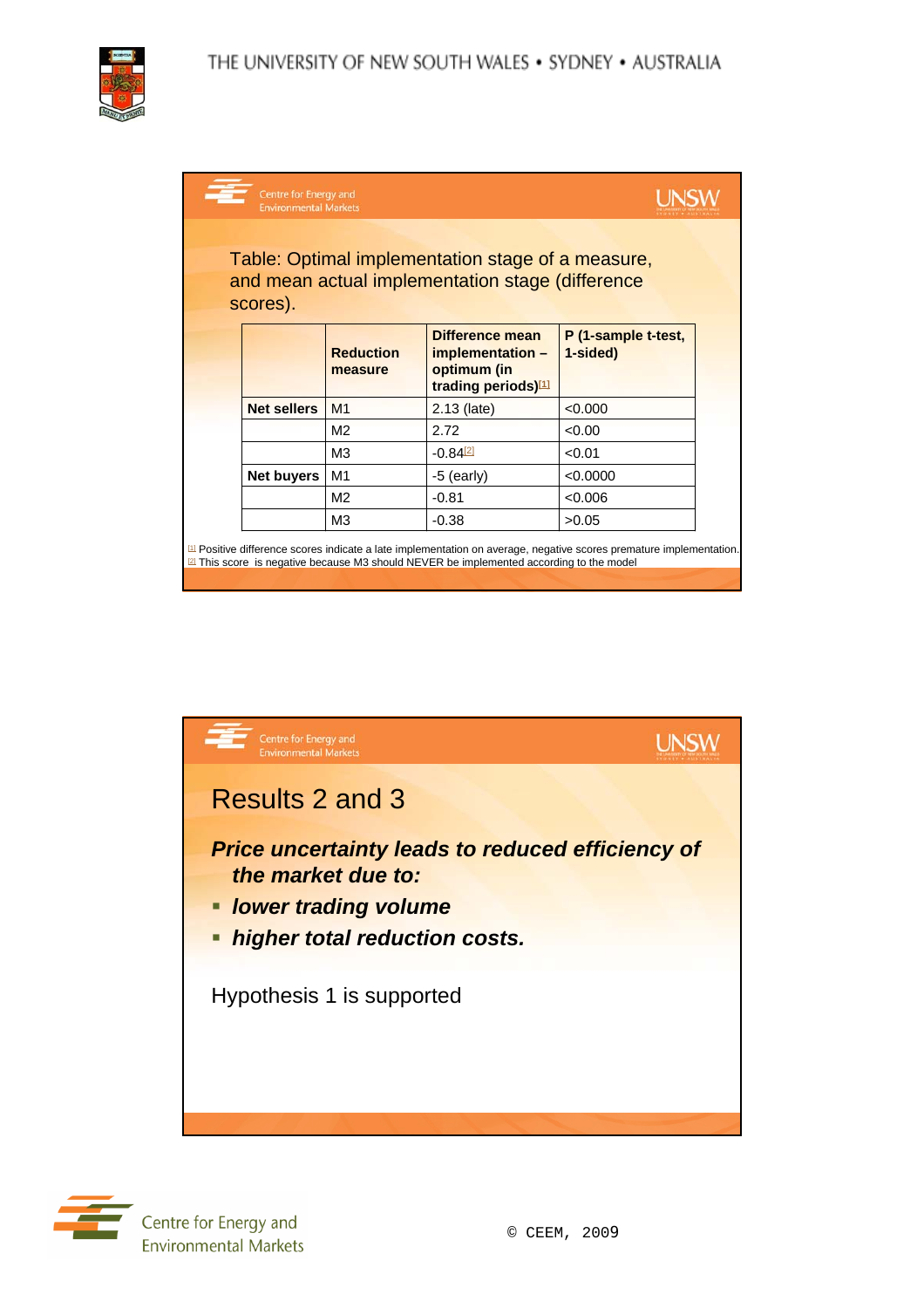| Centre for Energy and<br><b>Environmental Markets</b>                                                             |                             |                                                                           |                                 |  |
|-------------------------------------------------------------------------------------------------------------------|-----------------------------|---------------------------------------------------------------------------|---------------------------------|--|
| Table: Optimal implementation stage of a measure,<br>and mean actual implementation stage (difference<br>scores). |                             |                                                                           |                                 |  |
|                                                                                                                   | <b>Reduction</b><br>measure | Difference mean<br>implementation -<br>optimum (in<br>trading periods)[1] | P (1-sample t-test,<br>1-sided) |  |
| <b>Net sellers</b>                                                                                                | M <sub>1</sub>              | 2.13 (late)                                                               | < 0.000                         |  |
|                                                                                                                   | M <sub>2</sub>              | 2.72                                                                      | < 0.00                          |  |
|                                                                                                                   | M <sub>3</sub>              | $-0.84$ <sup>[2]</sup>                                                    | < 0.01                          |  |
| Net buyers                                                                                                        | M1                          | $-5$ (early)                                                              | < 0.0000                        |  |
|                                                                                                                   | M <sub>2</sub>              | $-0.81$                                                                   | < 0.006                         |  |
|                                                                                                                   | M <sub>3</sub>              | $-0.38$                                                                   | >0.05                           |  |

 $\frac{11}{2}$  Positive difference scores indicate a late implementation on average, negative scores premature implementation. In property of the model



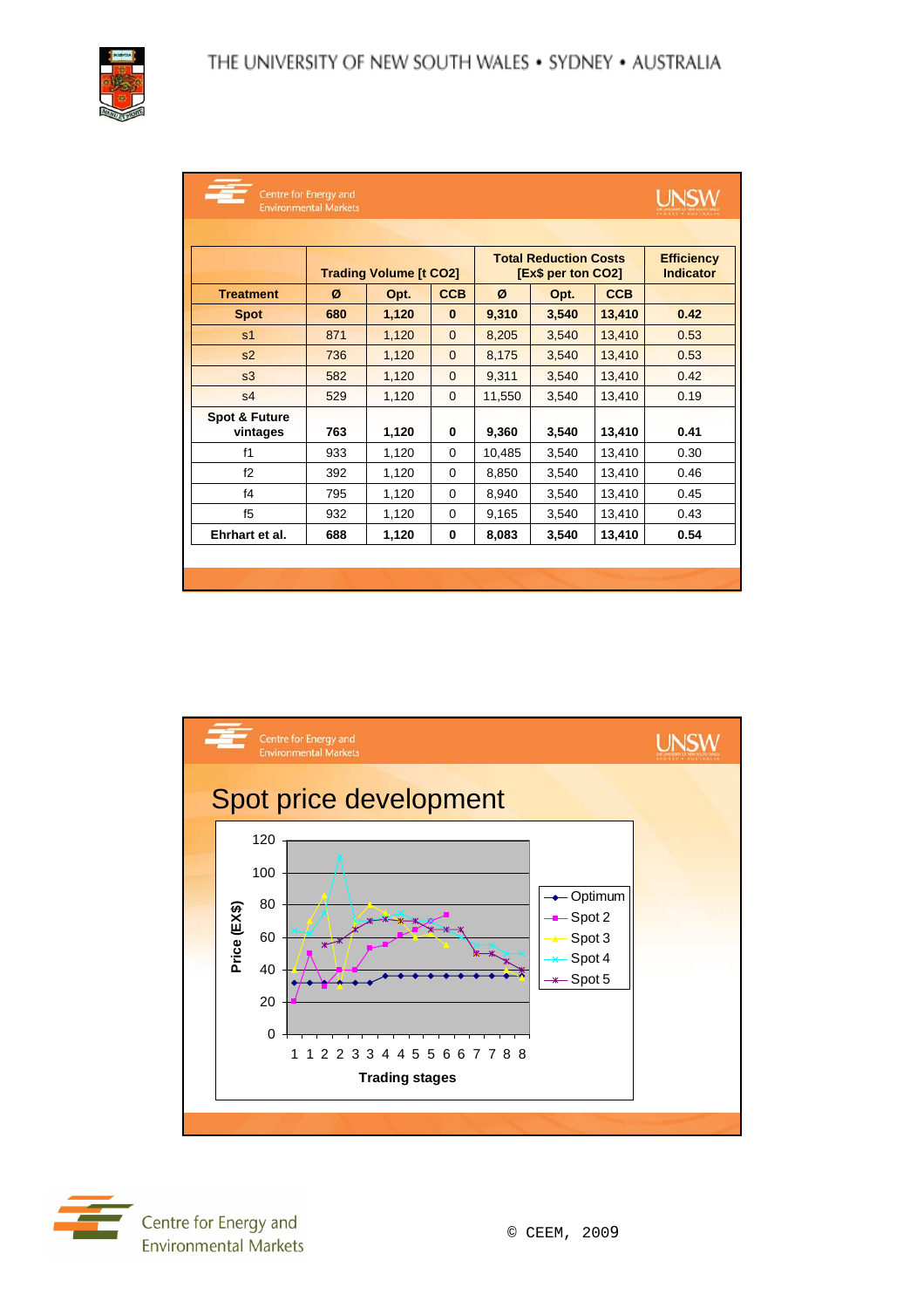

|                           | Centre for Energy and<br><b>Environmental Markets</b> |       |                |        |                                                    |            | <b>UNSV</b>                           |
|---------------------------|-------------------------------------------------------|-------|----------------|--------|----------------------------------------------------|------------|---------------------------------------|
|                           |                                                       |       |                |        |                                                    |            |                                       |
|                           | <b>Trading Volume [t CO2]</b>                         |       |                |        | <b>Total Reduction Costs</b><br>[Ex\$ per ton CO2] |            | <b>Efficiency</b><br><b>Indicator</b> |
| <b>Treatment</b>          | Ø                                                     | Opt.  | <b>CCB</b>     | Ø      | Opt.                                               | <b>CCB</b> |                                       |
| <b>Spot</b>               | 680                                                   | 1,120 | $\bf{0}$       | 9,310  | 3,540                                              | 13,410     | 0.42                                  |
| s <sub>1</sub>            | 871                                                   | 1,120 | $\mathbf{0}$   | 8,205  | 3,540                                              | 13,410     | 0.53                                  |
| s <sub>2</sub>            | 736                                                   | 1,120 | $\mathbf{0}$   | 8,175  | 3,540                                              | 13,410     | 0.53                                  |
| s3                        | 582                                                   | 1,120 | $\mathbf{0}$   | 9,311  | 3,540                                              | 13,410     | 0.42                                  |
| s <sub>4</sub>            | 529                                                   | 1,120 | $\overline{0}$ | 11,550 | 3,540                                              | 13,410     | 0.19                                  |
| Spot & Future<br>vintages | 763                                                   | 1,120 | 0              | 9,360  | 3,540                                              | 13,410     | 0.41                                  |
| f1                        | 933                                                   | 1,120 | $\Omega$       | 10,485 | 3,540                                              | 13,410     | 0.30                                  |
| f2                        | 392                                                   | 1,120 | 0              | 8,850  | 3,540                                              | 13,410     | 0.46                                  |
| f <sub>4</sub>            | 795                                                   | 1,120 | $\Omega$       | 8,940  | 3,540                                              | 13,410     | 0.45                                  |
| f5                        | 932                                                   | 1,120 | $\Omega$       | 9,165  | 3,540                                              | 13,410     | 0.43                                  |
| Ehrhart et al.            | 688                                                   | 1,120 | 0              | 8,083  | 3,540                                              | 13,410     | 0.54                                  |
|                           |                                                       |       |                |        |                                                    |            |                                       |



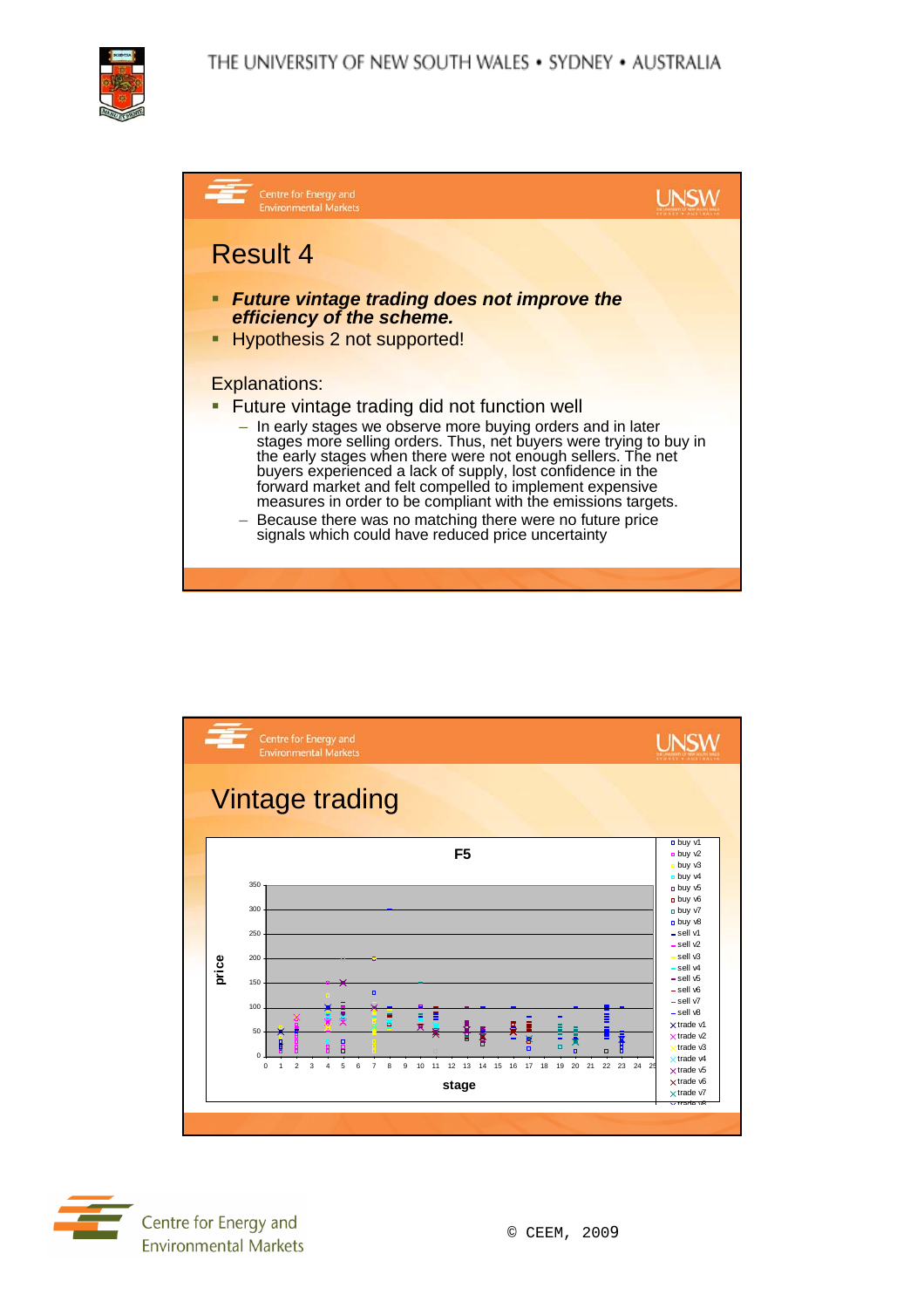